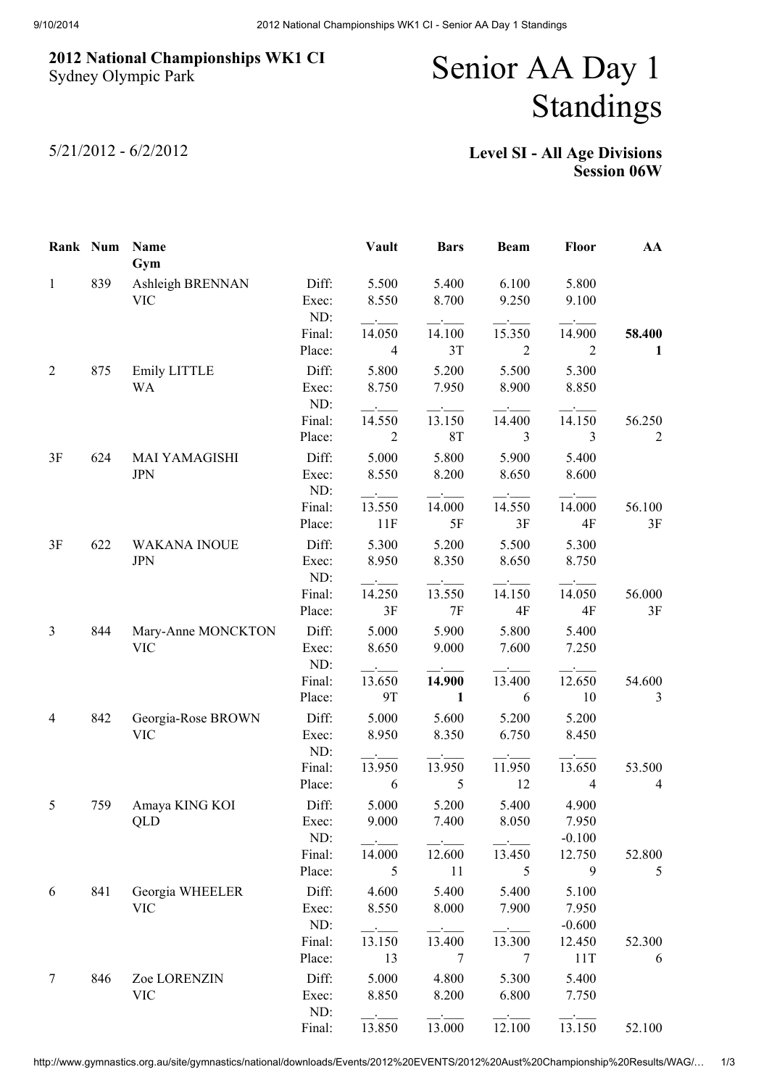## 2012 National Championships WK1 CI Sydney Olympic Park

## Senior AA Day 1 Standings

5/21/2012 - 6/2/2012

## Level SI - All Age Divisions Session 06W

| Rank Num       |     | Name<br>Gym                        |                       | Vault                    | <b>Bars</b>    | <b>Beam</b>              | <b>Floor</b>               | AA                       |
|----------------|-----|------------------------------------|-----------------------|--------------------------|----------------|--------------------------|----------------------------|--------------------------|
| $\mathbf{1}$   | 839 | Ashleigh BRENNAN<br><b>VIC</b>     | Diff:<br>Exec:<br>ND: | 5.500<br>8.550           | 5.400<br>8.700 | 6.100<br>9.250           | 5.800<br>9.100             |                          |
|                |     |                                    | Final:<br>Place:      | 14.050<br>$\overline{4}$ | 14.100<br>3T   | 15.350<br>$\overline{2}$ | 14.900<br>$\overline{2}$   | 58.400<br>1              |
| $\overline{2}$ | 875 | Emily LITTLE<br>WA                 | Diff:<br>Exec:<br>ND: | 5.800<br>8.750           | 5.200<br>7.950 | 5.500<br>8.900           | 5.300<br>8.850             |                          |
|                |     |                                    | Final:<br>Place:      | 14.550<br>$\overline{2}$ | 13.150<br>8T   | 14.400<br>3              | 14.150<br>3                | 56.250<br>$\overline{2}$ |
| 3F             | 624 | <b>MAI YAMAGISHI</b><br><b>JPN</b> | Diff:<br>Exec:<br>ND: | 5.000<br>8.550           | 5.800<br>8.200 | 5.900<br>8.650           | 5.400<br>8.600             |                          |
|                |     |                                    | Final:<br>Place:      | 13.550<br>11F            | 14.000<br>5F   | 14.550<br>3F             | 14.000<br>4F               | 56.100<br>3F             |
| 3F             | 622 | <b>WAKANA INOUE</b><br><b>JPN</b>  | Diff:<br>Exec:<br>ND: | 5.300<br>8.950           | 5.200<br>8.350 | 5.500<br>8.650           | 5.300<br>8.750             |                          |
|                |     |                                    | Final:<br>Place:      | 14.250<br>3F             | 13.550<br>7F   | 14.150<br>4F             | 14.050<br>4F               | 56.000<br>3F             |
| $\mathfrak{Z}$ | 844 | Mary-Anne MONCKTON<br><b>VIC</b>   | Diff:<br>Exec:<br>ND: | 5.000<br>8.650           | 5.900<br>9.000 | 5.800<br>7.600           | 5.400<br>7.250             |                          |
|                |     |                                    | Final:<br>Place:      | 13.650<br>9T             | 14.900<br>1    | 13.400<br>6              | 12.650<br>10               | 54.600<br>3              |
| 4              | 842 | Georgia-Rose BROWN<br><b>VIC</b>   | Diff:<br>Exec:<br>ND: | 5.000<br>8.950           | 5.600<br>8.350 | 5.200<br>6.750           | 5.200<br>8.450             |                          |
|                |     |                                    | Final:<br>Place:      | 13.950<br>6              | 13.950<br>5    | 11.950<br>12             | 13.650<br>$\overline{4}$   | 53.500<br>4              |
| 5              | 759 | Amaya KING KOI<br><b>QLD</b>       | Diff:<br>Exec:<br>ND: | 5.000<br>9.000           | 5.200<br>7.400 | 5.400<br>8.050           | 4.900<br>7.950<br>$-0.100$ |                          |
|                |     |                                    | Final:<br>Place:      | 14.000<br>5              | 12.600<br>11   | 13.450<br>5              | 12.750<br>9                | 52.800<br>5              |
| 6              | 841 | Georgia WHEELER<br><b>VIC</b>      | Diff:<br>Exec:<br>ND: | 4.600<br>8.550           | 5.400<br>8.000 | 5.400<br>7.900           | 5.100<br>7.950<br>$-0.600$ |                          |
|                |     |                                    | Final:<br>Place:      | 13.150<br>13             | 13.400<br>7    | 13.300<br>7              | 12.450<br>11T              | 52.300<br>6              |
| $\overline{7}$ | 846 | Zoe LORENZIN<br><b>VIC</b>         | Diff:<br>Exec:<br>ND: | 5.000<br>8.850           | 4.800<br>8.200 | 5.300<br>6.800           | 5.400<br>7.750             |                          |
|                |     |                                    | Final:                | 13.850                   | 13.000         | 12.100                   | 13.150                     | 52.100                   |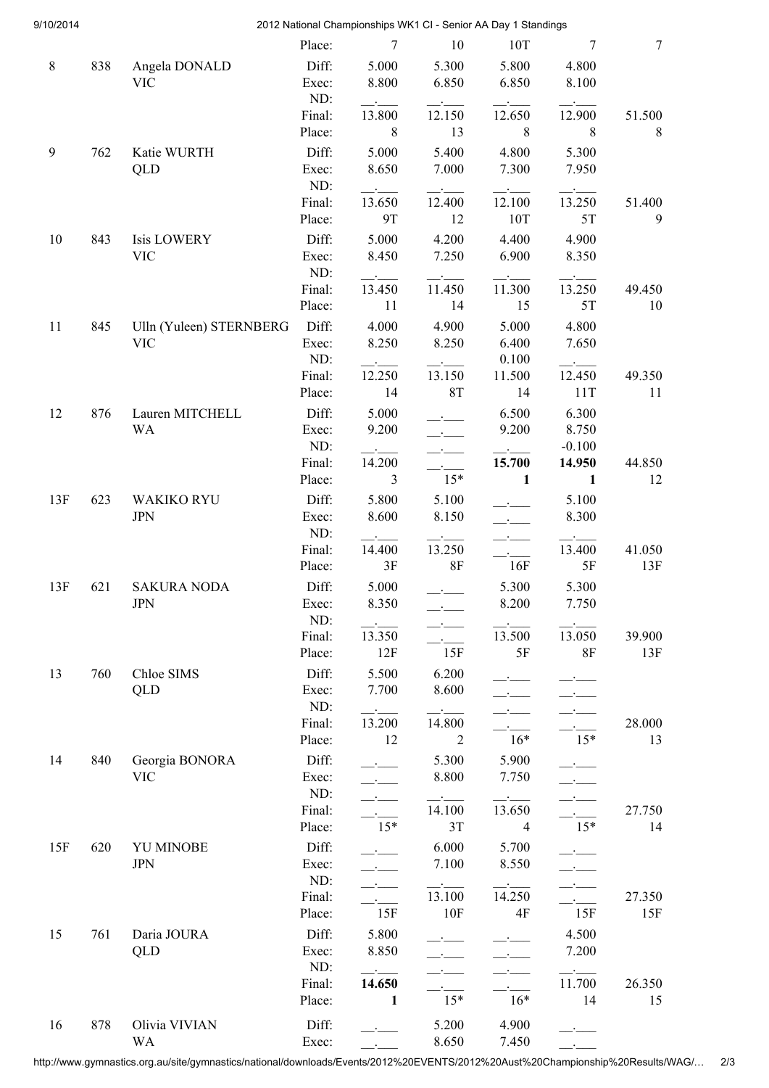| 9/10/2014 |     |                                  |                  | 2012 National Championships WK1 CI - Senior AA Day 1 Standings |                          |                          |                          |              |
|-----------|-----|----------------------------------|------------------|----------------------------------------------------------------|--------------------------|--------------------------|--------------------------|--------------|
|           |     |                                  | Place:           | 7                                                              | 10                       | 10T                      | 7                        | 7            |
| $\,8\,$   | 838 | Angela DONALD                    | Diff:            | 5.000                                                          | 5.300                    | 5.800                    | 4.800                    |              |
|           |     | <b>VIC</b>                       | Exec:            | 8.800                                                          | 6.850                    | 6.850                    | 8.100                    |              |
|           |     |                                  | ND:              |                                                                |                          |                          |                          |              |
|           |     |                                  | Final:           | 13.800                                                         | 12.150                   | 12.650                   | 12.900                   | 51.500       |
|           |     |                                  | Place:           | 8                                                              | 13                       | 8                        | 8                        | 8            |
| 9         | 762 | Katie WURTH                      | Diff:            | 5.000                                                          | 5.400                    | 4.800                    | 5.300                    |              |
|           |     | QLD                              | Exec:            | 8.650                                                          | 7.000                    | 7.300                    | 7.950                    |              |
|           |     |                                  | ND:              |                                                                |                          |                          |                          |              |
|           |     |                                  | Final:           | 13.650                                                         | 12.400                   | 12.100                   | 13.250                   | 51.400       |
|           |     |                                  | Place:           | 9T                                                             | 12                       | 10T                      | $5T$                     | 9            |
| 10        | 843 | <b>Isis LOWERY</b>               | Diff:            | 5.000                                                          | 4.200                    | 4.400                    | 4.900                    |              |
|           |     | <b>VIC</b>                       | Exec:            | 8.450                                                          | 7.250                    | 6.900                    | 8.350                    |              |
|           |     |                                  | ND:              |                                                                |                          |                          |                          |              |
|           |     |                                  | Final:           | 13.450                                                         | 11.450                   | 11.300                   | 13.250                   | 49.450       |
|           |     |                                  | Place:           | 11                                                             | 14                       | 15                       | 5T                       | 10           |
| 11        | 845 | Ulln (Yuleen) STERNBERG          | Diff:            | 4.000                                                          | 4.900                    | 5.000                    | 4.800                    |              |
|           |     | <b>VIC</b>                       | Exec:            | 8.250                                                          | 8.250                    | 6.400                    | 7.650                    |              |
|           |     |                                  | ND:              |                                                                |                          | 0.100                    |                          |              |
|           |     |                                  | Final:           | 12.250                                                         | 13.150                   | 11.500                   | 12.450                   | 49.350       |
|           |     |                                  | Place:           | 14                                                             | <b>8T</b>                | 14                       | 11T                      | 11           |
| 12        | 876 | Lauren MITCHELL                  | Diff:            | 5.000                                                          |                          | 6.500                    | 6.300                    |              |
|           |     | <b>WA</b>                        | Exec:            | 9.200                                                          | $\overline{\phantom{a}}$ | 9.200                    | 8.750                    |              |
|           |     |                                  | ND:              |                                                                | $\overline{\phantom{a}}$ |                          | $-0.100$                 |              |
|           |     |                                  | Final:<br>Place: | 14.200<br>3                                                    | $\sim 100$<br>$15*$      | 15.700<br>$\mathbf{1}$   | 14.950<br>$\mathbf{1}$   | 44.850<br>12 |
|           |     |                                  |                  |                                                                |                          |                          |                          |              |
| 13F       | 623 | <b>WAKIKO RYU</b>                | Diff:            | 5.800                                                          | 5.100                    |                          | 5.100                    |              |
|           |     | <b>JPN</b>                       | Exec:<br>ND:     | 8.600                                                          | 8.150                    | $\overline{\phantom{a}}$ | 8.300                    |              |
|           |     |                                  | Final:           | 14.400                                                         | 13.250                   |                          | 13.400                   | 41.050       |
|           |     |                                  | Place:           | 3F                                                             | 8F                       | 16F                      | 5F                       | 13F          |
|           |     |                                  |                  |                                                                |                          |                          |                          |              |
| 13F       | 621 | <b>SAKURA NODA</b><br><b>JPN</b> | Diff:<br>Exec:   | 5.000<br>8.350                                                 |                          | 5.300<br>8.200           | 5.300<br>7.750           |              |
|           |     |                                  | ND:              |                                                                |                          |                          |                          |              |
|           |     |                                  | Final:           | $\mathbf{B}$<br>13.350                                         |                          | 13.500                   | 13.050                   | 39.900       |
|           |     |                                  | Place:           | 12F                                                            | 15F                      | 5F                       | $8F$                     | 13F          |
| 13        | 760 | Chloe SIMS                       | Diff:            | 5.500                                                          | 6.200                    |                          |                          |              |
|           |     | QLD                              | Exec:            | 7.700                                                          | 8.600                    |                          |                          |              |
|           |     |                                  | ND:              |                                                                |                          |                          |                          |              |
|           |     |                                  | Final:           | 13.200                                                         | 14.800                   |                          |                          | 28.000       |
|           |     |                                  | Place:           | 12                                                             | 2                        | $16*$                    | $15*$                    | 13           |
| 14        | 840 | Georgia BONORA                   | Diff:            |                                                                | 5.300                    | 5.900                    |                          |              |
|           |     | <b>VIC</b>                       | Exec:            |                                                                | 8.800                    | 7.750                    |                          |              |
|           |     |                                  | ND:              | $\overline{\phantom{a}}$                                       | $ -$                     |                          | $\overline{\phantom{a}}$ |              |
|           |     |                                  | Final:           | $\sim 10^{-10}$                                                | 14.100                   | 13.650                   | <b>Carl Corporation</b>  | 27.750       |
|           |     |                                  | Place:           | $15*$                                                          | 3T                       | 4                        | $15*$                    | 14           |
| 15F       | 620 | <b>YU MINOBE</b>                 | Diff:            |                                                                | 6.000                    | 5.700                    |                          |              |
|           |     | <b>JPN</b>                       | Exec:            | $\overline{\phantom{a}}$                                       | 7.100                    | 8.550                    | $\mathbf{B}$             |              |
|           |     |                                  | ND:              | $\overline{\phantom{a}}$                                       |                          |                          | $\overline{\phantom{a}}$ |              |
|           |     |                                  | Final:           |                                                                | 13.100                   | 14.250                   |                          | 27.350       |
|           |     |                                  | Place:           | 15F                                                            | 10F                      | 4F                       | 15F                      | 15F          |
| 15        | 761 | Daria JOURA                      | Diff:            | 5.800                                                          |                          |                          | 4.500                    |              |
|           |     | QLD                              | Exec:            | 8.850                                                          |                          |                          | 7.200                    |              |
|           |     |                                  | ND:              |                                                                |                          |                          |                          |              |
|           |     |                                  | Final:           | 14.650                                                         |                          |                          | 11.700                   | 26.350       |
|           |     |                                  | Place:           | 1                                                              | $15*$                    | $16*$                    | 14                       | 15           |
| 16        | 878 | Olivia VIVIAN                    | Diff:            |                                                                | 5.200                    | 4.900                    |                          |              |
|           |     | WA                               | Exec:            |                                                                | 8.650                    | 7.450                    |                          |              |